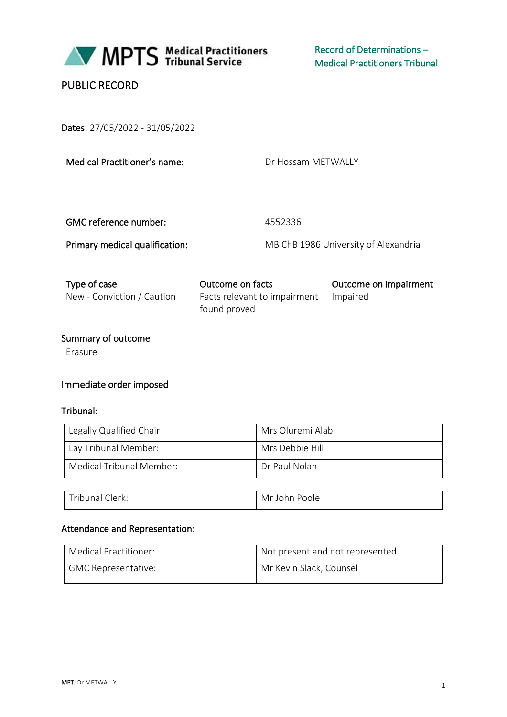

Record of Determinations – Medical Practitioners Tribunal

# PUBLIC RECORD

Dates: 27/05/2022 - 31/05/2022

Medical Practitioner's name:

Dr Hossam METWALLY

GMC reference number: 4552336

Primary medical qualification: MB ChB 1986 University of Alexandria

| Type of case               | Outcome on facts                                      | Outcome on impairment |
|----------------------------|-------------------------------------------------------|-----------------------|
| New - Conviction / Caution | Facts relevant to impairment Impaired<br>found proved |                       |
|                            |                                                       |                       |

# Summary of outcome

Erasure

### Immediate order imposed

#### Tribunal:

| Legally Qualified Chair  | Mrs Oluremi Alabi |
|--------------------------|-------------------|
| Lay Tribunal Member:     | Mrs Debbie Hill   |
| Medical Tribunal Member: | Dr Paul Nolan     |
|                          |                   |

| $\sim$<br>$\rightarrow$<br>ribunal l<br>Clerk: | Mr John<br>Poole |
|------------------------------------------------|------------------|
|------------------------------------------------|------------------|

#### Attendance and Representation:

| Medical Practitioner: | Not present and not represented |
|-----------------------|---------------------------------|
| GMC Representative:   | Mr Kevin Slack, Counsel         |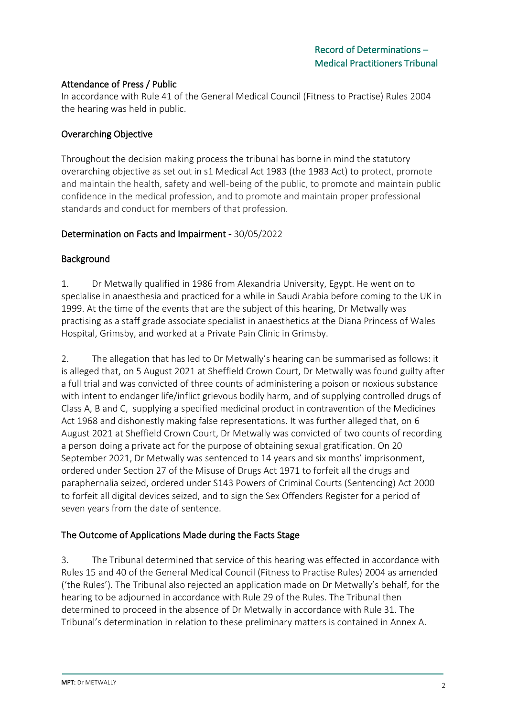### Attendance of Press / Public

In accordance with Rule 41 of the General Medical Council (Fitness to Practise) Rules 2004 the hearing was held in public.

### Overarching Objective

Throughout the decision making process the tribunal has borne in mind the statutory overarching objective as set out in s1 Medical Act 1983 (the 1983 Act) to protect, promote and maintain the health, safety and well-being of the public, to promote and maintain public confidence in the medical profession, and to promote and maintain proper professional standards and conduct for members of that profession.

#### Determination on Facts and Impairment - 30/05/2022

#### Background

1. Dr Metwally qualified in 1986 from Alexandria University, Egypt. He went on to specialise in anaesthesia and practiced for a while in Saudi Arabia before coming to the UK in 1999. At the time of the events that are the subject of this hearing, Dr Metwally was practising as a staff grade associate specialist in anaesthetics at the Diana Princess of Wales Hospital, Grimsby, and worked at a Private Pain Clinic in Grimsby.

2. The allegation that has led to Dr Metwally's hearing can be summarised as follows: it is alleged that, on 5 August 2021 at Sheffield Crown Court, Dr Metwally was found guilty after a full trial and was convicted of three counts of administering a poison or noxious substance with intent to endanger life/inflict grievous bodily harm, and of supplying controlled drugs of Class A, B and C, supplying a specified medicinal product in contravention of the Medicines Act 1968 and dishonestly making false representations. It was further alleged that, on 6 August 2021 at Sheffield Crown Court, Dr Metwally was convicted of two counts of recording a person doing a private act for the purpose of obtaining sexual gratification. On 20 September 2021, Dr Metwally was sentenced to 14 years and six months' imprisonment, ordered under Section 27 of the Misuse of Drugs Act 1971 to forfeit all the drugs and paraphernalia seized, ordered under S143 Powers of Criminal Courts (Sentencing) Act 2000 to forfeit all digital devices seized, and to sign the Sex Offenders Register for a period of seven years from the date of sentence.

#### The Outcome of Applications Made during the Facts Stage

3. The Tribunal determined that service of this hearing was effected in accordance with Rules 15 and 40 of the General Medical Council (Fitness to Practise Rules) 2004 as amended ('the Rules'). The Tribunal also rejected an application made on Dr Metwally's behalf, for the hearing to be adjourned in accordance with Rule 29 of the Rules. The Tribunal then determined to proceed in the absence of Dr Metwally in accordance with Rule 31. The Tribunal's determination in relation to these preliminary matters is contained in Annex A.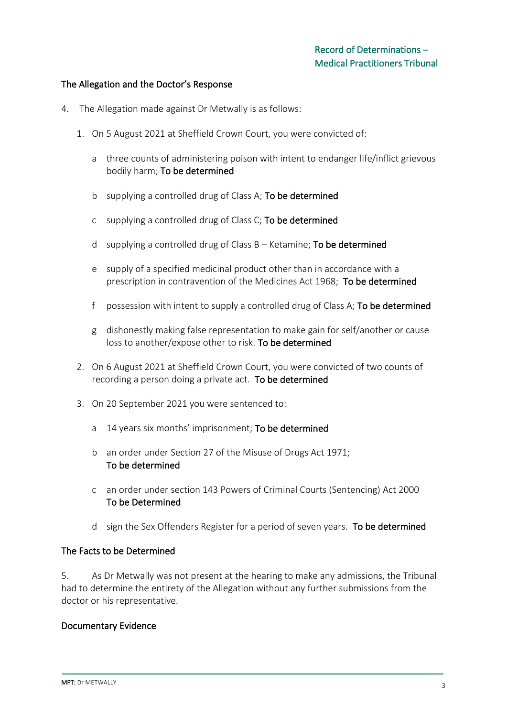#### The Allegation and the Doctor's Response

- 4. The Allegation made against Dr Metwally is as follows:
	- 1. On 5 August 2021 at Sheffield Crown Court, you were convicted of:
		- a three counts of administering poison with intent to endanger life/inflict grievous bodily harm; To be determined
		- b supplying a controlled drug of Class A; To be determined
		- c supplying a controlled drug of Class C; To be determined
		- d supplying a controlled drug of Class  $B -$  Ketamine; **To be determined**
		- e supply of a specified medicinal product other than in accordance with a prescription in contravention of the Medicines Act 1968; To be determined
		- f possession with intent to supply a controlled drug of Class A; To be determined
		- g dishonestly making false representation to make gain for self/another or cause loss to another/expose other to risk. To be determined
	- 2. On 6 August 2021 at Sheffield Crown Court, you were convicted of two counts of recording a person doing a private act. To be determined
	- 3. On 20 September 2021 you were sentenced to:
		- a 14 years six months' imprisonment; To be determined
		- b an order under Section 27 of the Misuse of Drugs Act 1971; To be determined
		- c an order under section 143 Powers of Criminal Courts (Sentencing) Act 2000 To be Determined
		- d sign the Sex Offenders Register for a period of seven years. To be determined

#### The Facts to be Determined

5. As Dr Metwally was not present at the hearing to make any admissions, the Tribunal had to determine the entirety of the Allegation without any further submissions from the doctor or his representative.

#### Documentary Evidence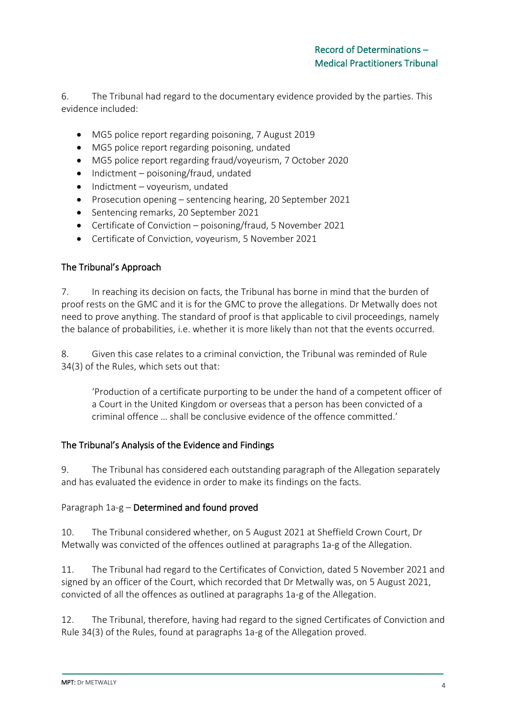6. The Tribunal had regard to the documentary evidence provided by the parties. This evidence included:

- MG5 police report regarding poisoning, 7 August 2019
- MG5 police report regarding poisoning, undated
- MG5 police report regarding fraud/voyeurism, 7 October 2020
- Indictment poisoning/fraud, undated
- Indictment voyeurism, undated
- Prosecution opening sentencing hearing, 20 September 2021
- Sentencing remarks, 20 September 2021
- Certificate of Conviction poisoning/fraud, 5 November 2021
- Certificate of Conviction, voyeurism, 5 November 2021

### The Tribunal's Approach

7. In reaching its decision on facts, the Tribunal has borne in mind that the burden of proof rests on the GMC and it is for the GMC to prove the allegations. Dr Metwally does not need to prove anything. The standard of proof is that applicable to civil proceedings, namely the balance of probabilities, i.e. whether it is more likely than not that the events occurred.

8. Given this case relates to a criminal conviction, the Tribunal was reminded of Rule 34(3) of the Rules, which sets out that:

'Production of a certificate purporting to be under the hand of a competent officer of a Court in the United Kingdom or overseas that a person has been convicted of a criminal offence … shall be conclusive evidence of the offence committed.'

### The Tribunal's Analysis of the Evidence and Findings

9. The Tribunal has considered each outstanding paragraph of the Allegation separately and has evaluated the evidence in order to make its findings on the facts.

### Paragraph 1a-g – Determined and found proved

10. The Tribunal considered whether, on 5 August 2021 at Sheffield Crown Court, Dr Metwally was convicted of the offences outlined at paragraphs 1a-g of the Allegation.

11. The Tribunal had regard to the Certificates of Conviction, dated 5 November 2021 and signed by an officer of the Court, which recorded that Dr Metwally was, on 5 August 2021, convicted of all the offences as outlined at paragraphs 1a-g of the Allegation.

12. The Tribunal, therefore, having had regard to the signed Certificates of Conviction and Rule 34(3) of the Rules, found at paragraphs 1a-g of the Allegation proved.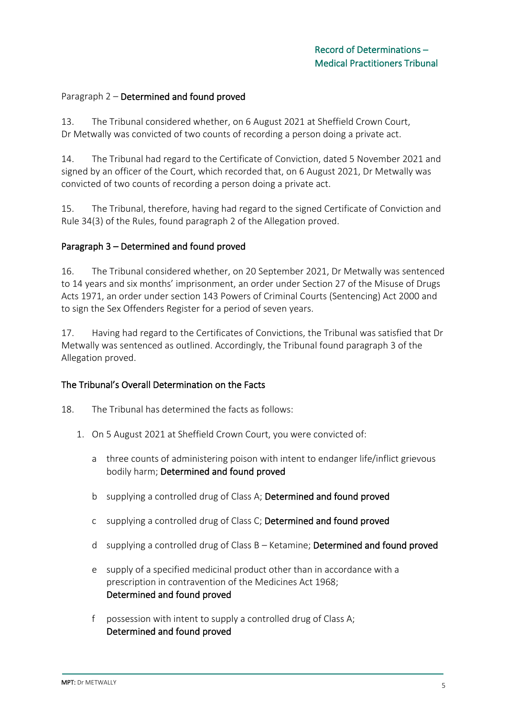#### Paragraph 2 – Determined and found proved

13. The Tribunal considered whether, on 6 August 2021 at Sheffield Crown Court, Dr Metwally was convicted of two counts of recording a person doing a private act.

14. The Tribunal had regard to the Certificate of Conviction, dated 5 November 2021 and signed by an officer of the Court, which recorded that, on 6 August 2021, Dr Metwally was convicted of two counts of recording a person doing a private act.

15. The Tribunal, therefore, having had regard to the signed Certificate of Conviction and Rule 34(3) of the Rules, found paragraph 2 of the Allegation proved.

#### Paragraph 3 – Determined and found proved

16. The Tribunal considered whether, on 20 September 2021, Dr Metwally was sentenced to 14 years and six months' imprisonment, an order under Section 27 of the Misuse of Drugs Acts 1971, an order under section 143 Powers of Criminal Courts (Sentencing) Act 2000 and to sign the Sex Offenders Register for a period of seven years.

17. Having had regard to the Certificates of Convictions, the Tribunal was satisfied that Dr Metwally was sentenced as outlined. Accordingly, the Tribunal found paragraph 3 of the Allegation proved.

#### The Tribunal's Overall Determination on the Facts

- 18. The Tribunal has determined the facts as follows:
	- 1. On 5 August 2021 at Sheffield Crown Court, you were convicted of:
		- a three counts of administering poison with intent to endanger life/inflict grievous bodily harm; Determined and found proved
		- b supplying a controlled drug of Class A; Determined and found proved
		- c supplying a controlled drug of Class C; Determined and found proved
		- d supplying a controlled drug of Class B Ketamine; Determined and found proved
		- e supply of a specified medicinal product other than in accordance with a prescription in contravention of the Medicines Act 1968; Determined and found proved
		- f possession with intent to supply a controlled drug of Class A; Determined and found proved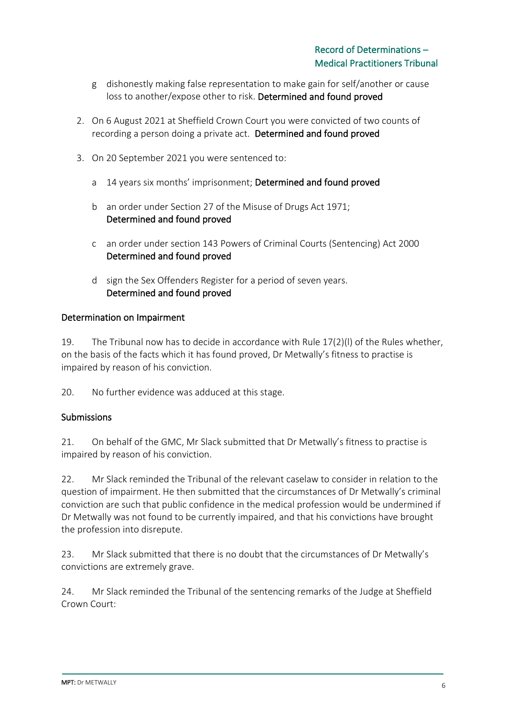- g dishonestly making false representation to make gain for self/another or cause loss to another/expose other to risk. Determined and found proved
- 2. On 6 August 2021 at Sheffield Crown Court you were convicted of two counts of recording a person doing a private act. Determined and found proved
- 3. On 20 September 2021 you were sentenced to:
	- a 14 years six months' imprisonment; Determined and found proved
	- b an order under Section 27 of the Misuse of Drugs Act 1971; Determined and found proved
	- c an order under section 143 Powers of Criminal Courts (Sentencing) Act 2000 Determined and found proved
	- d sign the Sex Offenders Register for a period of seven years. Determined and found proved

#### Determination on Impairment

19. The Tribunal now has to decide in accordance with Rule 17(2)(l) of the Rules whether, on the basis of the facts which it has found proved, Dr Metwally's fitness to practise is impaired by reason of his conviction.

20. No further evidence was adduced at this stage.

### **Submissions**

21. On behalf of the GMC, Mr Slack submitted that Dr Metwally's fitness to practise is impaired by reason of his conviction.

22. Mr Slack reminded the Tribunal of the relevant caselaw to consider in relation to the question of impairment. He then submitted that the circumstances of Dr Metwally's criminal conviction are such that public confidence in the medical profession would be undermined if Dr Metwally was not found to be currently impaired, and that his convictions have brought the profession into disrepute.

23. Mr Slack submitted that there is no doubt that the circumstances of Dr Metwally's convictions are extremely grave.

24. Mr Slack reminded the Tribunal of the sentencing remarks of the Judge at Sheffield Crown Court: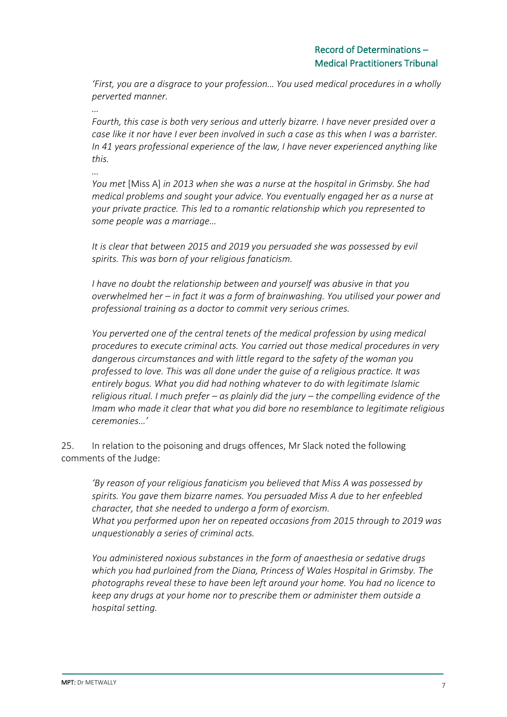*'First, you are a disgrace to your profession… You used medical procedures in a wholly perverted manner.*

*… Fourth, this case is both very serious and utterly bizarre. I have never presided over a case like it nor have I ever been involved in such a case as this when I was a barrister. In 41 years professional experience of the law, I have never experienced anything like this.*

*…*

*You met* [Miss A] *in 2013 when she was a nurse at the hospital in Grimsby. She had medical problems and sought your advice. You eventually engaged her as a nurse at your private practice. This led to a romantic relationship which you represented to some people was a marriage…*

*It is clear that between 2015 and 2019 you persuaded she was possessed by evil spirits. This was born of your religious fanaticism.*

*I have no doubt the relationship between and yourself was abusive in that you overwhelmed her – in fact it was a form of brainwashing. You utilised your power and professional training as a doctor to commit very serious crimes.*

*You perverted one of the central tenets of the medical profession by using medical procedures to execute criminal acts. You carried out those medical procedures in very dangerous circumstances and with little regard to the safety of the woman you professed to love. This was all done under the guise of a religious practice. It was entirely bogus. What you did had nothing whatever to do with legitimate Islamic religious ritual. I much prefer – as plainly did the jury – the compelling evidence of the Imam who made it clear that what you did bore no resemblance to legitimate religious ceremonies…'*

25. In relation to the poisoning and drugs offences, Mr Slack noted the following comments of the Judge:

*'By reason of your religious fanaticism you believed that Miss A was possessed by spirits. You gave them bizarre names. You persuaded Miss A due to her enfeebled character, that she needed to undergo a form of exorcism. What you performed upon her on repeated occasions from 2015 through to 2019 was unquestionably a series of criminal acts.*

*You administered noxious substances in the form of anaesthesia or sedative drugs which you had purloined from the Diana, Princess of Wales Hospital in Grimsby. The photographs reveal these to have been left around your home. You had no licence to keep any drugs at your home nor to prescribe them or administer them outside a hospital setting.*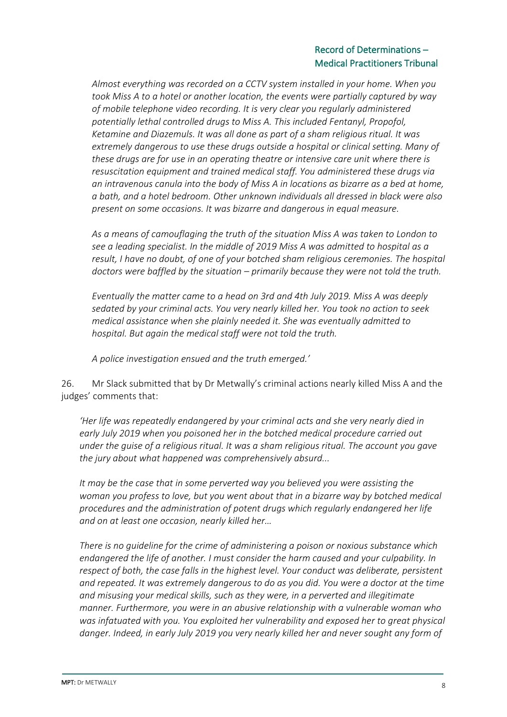### Record of Determinations – Medical Practitioners Tribunal

*Almost everything was recorded on a CCTV system installed in your home. When you took Miss A to a hotel or another location, the events were partially captured by way of mobile telephone video recording. It is very clear you regularly administered potentially lethal controlled drugs to Miss A. This included Fentanyl, Propofol, Ketamine and Diazemuls. It was all done as part of a sham religious ritual. It was extremely dangerous to use these drugs outside a hospital or clinical setting. Many of these drugs are for use in an operating theatre or intensive care unit where there is resuscitation equipment and trained medical staff. You administered these drugs via an intravenous canula into the body of Miss A in locations as bizarre as a bed at home, a bath, and a hotel bedroom. Other unknown individuals all dressed in black were also present on some occasions. It was bizarre and dangerous in equal measure.*

*As a means of camouflaging the truth of the situation Miss A was taken to London to see a leading specialist. In the middle of 2019 Miss A was admitted to hospital as a result, I have no doubt, of one of your botched sham religious ceremonies. The hospital doctors were baffled by the situation – primarily because they were not told the truth.*

*Eventually the matter came to a head on 3rd and 4th July 2019. Miss A was deeply sedated by your criminal acts. You very nearly killed her. You took no action to seek medical assistance when she plainly needed it. She was eventually admitted to hospital. But again the medical staff were not told the truth.* 

*A police investigation ensued and the truth emerged.'*

26. Mr Slack submitted that by Dr Metwally's criminal actions nearly killed Miss A and the judges' comments that:

*'Her life was repeatedly endangered by your criminal acts and she very nearly died in early July 2019 when you poisoned her in the botched medical procedure carried out under the guise of a religious ritual. It was a sham religious ritual. The account you gave the jury about what happened was comprehensively absurd...*

*It may be the case that in some perverted way you believed you were assisting the woman you profess to love, but you went about that in a bizarre way by botched medical procedures and the administration of potent drugs which regularly endangered her life and on at least one occasion, nearly killed her…*

*There is no guideline for the crime of administering a poison or noxious substance which endangered the life of another. I must consider the harm caused and your culpability. In respect of both, the case falls in the highest level. Your conduct was deliberate, persistent and repeated. It was extremely dangerous to do as you did. You were a doctor at the time and misusing your medical skills, such as they were, in a perverted and illegitimate manner. Furthermore, you were in an abusive relationship with a vulnerable woman who was infatuated with you. You exploited her vulnerability and exposed her to great physical danger. Indeed, in early July 2019 you very nearly killed her and never sought any form of*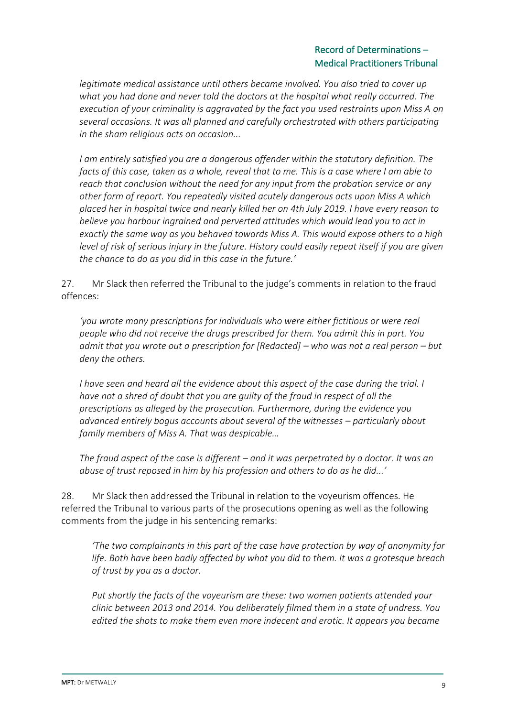### Record of Determinations – Medical Practitioners Tribunal

*legitimate medical assistance until others became involved. You also tried to cover up what you had done and never told the doctors at the hospital what really occurred. The execution of your criminality is aggravated by the fact you used restraints upon Miss A on several occasions. It was all planned and carefully orchestrated with others participating in the sham religious acts on occasion...*

*I am entirely satisfied you are a dangerous offender within the statutory definition. The facts of this case, taken as a whole, reveal that to me. This is a case where I am able to reach that conclusion without the need for any input from the probation service or any other form of report. You repeatedly visited acutely dangerous acts upon Miss A which placed her in hospital twice and nearly killed her on 4th July 2019. I have every reason to believe you harbour ingrained and perverted attitudes which would lead you to act in exactly the same way as you behaved towards Miss A. This would expose others to a high level of risk of serious injury in the future. History could easily repeat itself if you are given the chance to do as you did in this case in the future.'*

27. Mr Slack then referred the Tribunal to the judge's comments in relation to the fraud offences:

*'you wrote many prescriptions for individuals who were either fictitious or were real people who did not receive the drugs prescribed for them. You admit this in part. You admit that you wrote out a prescription for [Redacted] – who was not a real person – but deny the others.*

*I have seen and heard all the evidence about this aspect of the case during the trial. I have not a shred of doubt that you are guilty of the fraud in respect of all the prescriptions as alleged by the prosecution. Furthermore, during the evidence you advanced entirely bogus accounts about several of the witnesses – particularly about family members of Miss A. That was despicable…*

*The fraud aspect of the case is different – and it was perpetrated by a doctor. It was an abuse of trust reposed in him by his profession and others to do as he did...'*

28. Mr Slack then addressed the Tribunal in relation to the voyeurism offences. He referred the Tribunal to various parts of the prosecutions opening as well as the following comments from the judge in his sentencing remarks:

*'The two complainants in this part of the case have protection by way of anonymity for life. Both have been badly affected by what you did to them. It was a grotesque breach of trust by you as a doctor.* 

*Put shortly the facts of the voyeurism are these: two women patients attended your clinic between 2013 and 2014. You deliberately filmed them in a state of undress. You edited the shots to make them even more indecent and erotic. It appears you became*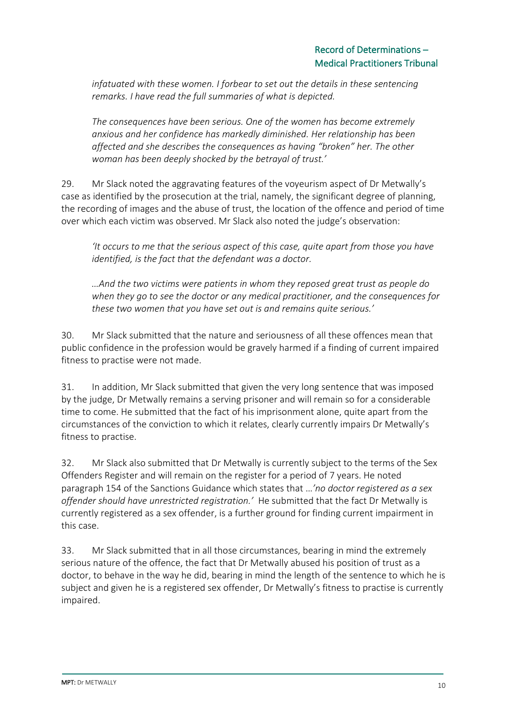*infatuated with these women. I forbear to set out the details in these sentencing remarks. I have read the full summaries of what is depicted.* 

*The consequences have been serious. One of the women has become extremely anxious and her confidence has markedly diminished. Her relationship has been affected and she describes the consequences as having "broken" her. The other woman has been deeply shocked by the betrayal of trust.'*

29. Mr Slack noted the aggravating features of the voyeurism aspect of Dr Metwally's case as identified by the prosecution at the trial, namely, the significant degree of planning, the recording of images and the abuse of trust, the location of the offence and period of time over which each victim was observed. Mr Slack also noted the judge's observation:

*'It occurs to me that the serious aspect of this case, quite apart from those you have identified, is the fact that the defendant was a doctor.* 

*…And the two victims were patients in whom they reposed great trust as people do when they go to see the doctor or any medical practitioner, and the consequences for these two women that you have set out is and remains quite serious.'*

30. Mr Slack submitted that the nature and seriousness of all these offences mean that public confidence in the profession would be gravely harmed if a finding of current impaired fitness to practise were not made.

31. In addition, Mr Slack submitted that given the very long sentence that was imposed by the judge, Dr Metwally remains a serving prisoner and will remain so for a considerable time to come. He submitted that the fact of his imprisonment alone, quite apart from the circumstances of the conviction to which it relates, clearly currently impairs Dr Metwally's fitness to practise.

32. Mr Slack also submitted that Dr Metwally is currently subject to the terms of the Sex Offenders Register and will remain on the register for a period of 7 years. He noted paragraph 154 of the Sanctions Guidance which states that …*'no doctor registered as a sex offender should have unrestricted registration.'* He submitted that the fact Dr Metwally is currently registered as a sex offender, is a further ground for finding current impairment in this case.

33. Mr Slack submitted that in all those circumstances, bearing in mind the extremely serious nature of the offence, the fact that Dr Metwally abused his position of trust as a doctor, to behave in the way he did, bearing in mind the length of the sentence to which he is subject and given he is a registered sex offender, Dr Metwally's fitness to practise is currently impaired.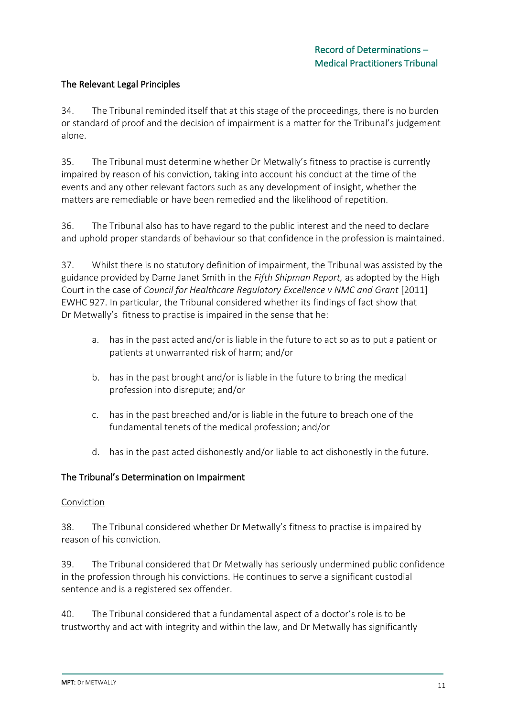### The Relevant Legal Principles

34. The Tribunal reminded itself that at this stage of the proceedings, there is no burden or standard of proof and the decision of impairment is a matter for the Tribunal's judgement alone.

35. The Tribunal must determine whether Dr Metwally's fitness to practise is currently impaired by reason of his conviction, taking into account his conduct at the time of the events and any other relevant factors such as any development of insight, whether the matters are remediable or have been remedied and the likelihood of repetition.

36. The Tribunal also has to have regard to the public interest and the need to declare and uphold proper standards of behaviour so that confidence in the profession is maintained.

37. Whilst there is no statutory definition of impairment, the Tribunal was assisted by the guidance provided by Dame Janet Smith in the *Fifth Shipman Report,* as adopted by the High Court in the case of *Council for Healthcare Regulatory Excellence v NMC and Grant* [2011] EWHC 927. In particular, the Tribunal considered whether its findings of fact show that Dr Metwally's fitness to practise is impaired in the sense that he:

- a. has in the past acted and/or is liable in the future to act so as to put a patient or patients at unwarranted risk of harm; and/or
- b. has in the past brought and/or is liable in the future to bring the medical profession into disrepute; and/or
- c. has in the past breached and/or is liable in the future to breach one of the fundamental tenets of the medical profession; and/or
- d. has in the past acted dishonestly and/or liable to act dishonestly in the future.

#### The Tribunal's Determination on Impairment

#### **Conviction**

38. The Tribunal considered whether Dr Metwally's fitness to practise is impaired by reason of his conviction.

39. The Tribunal considered that Dr Metwally has seriously undermined public confidence in the profession through his convictions. He continues to serve a significant custodial sentence and is a registered sex offender.

40. The Tribunal considered that a fundamental aspect of a doctor's role is to be trustworthy and act with integrity and within the law, and Dr Metwally has significantly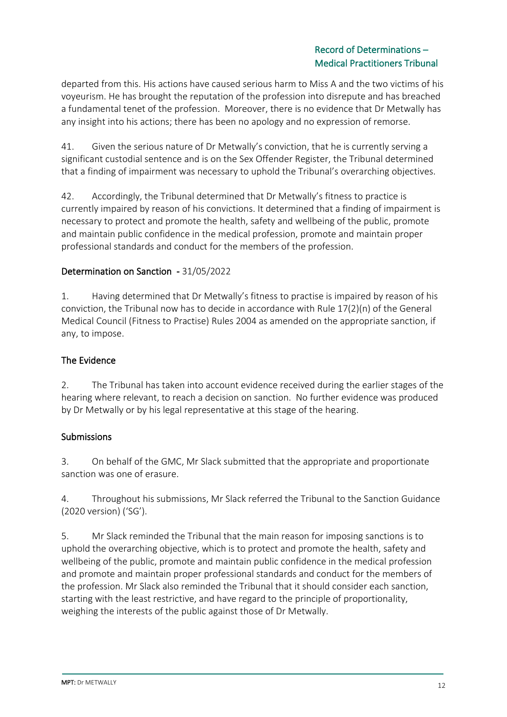### Record of Determinations – Medical Practitioners Tribunal

departed from this. His actions have caused serious harm to Miss A and the two victims of his voyeurism. He has brought the reputation of the profession into disrepute and has breached a fundamental tenet of the profession. Moreover, there is no evidence that Dr Metwally has any insight into his actions; there has been no apology and no expression of remorse.

41. Given the serious nature of Dr Metwally's conviction, that he is currently serving a significant custodial sentence and is on the Sex Offender Register, the Tribunal determined that a finding of impairment was necessary to uphold the Tribunal's overarching objectives.

42. Accordingly, the Tribunal determined that Dr Metwally's fitness to practice is currently impaired by reason of his convictions. It determined that a finding of impairment is necessary to protect and promote the health, safety and wellbeing of the public, promote and maintain public confidence in the medical profession, promote and maintain proper professional standards and conduct for the members of the profession.

### Determination on Sanction - 31/05/2022

1. Having determined that Dr Metwally's fitness to practise is impaired by reason of his conviction, the Tribunal now has to decide in accordance with Rule 17(2)(n) of the General Medical Council (Fitness to Practise) Rules 2004 as amended on the appropriate sanction, if any, to impose.

### The Evidence

2. The Tribunal has taken into account evidence received during the earlier stages of the hearing where relevant, to reach a decision on sanction. No further evidence was produced by Dr Metwally or by his legal representative at this stage of the hearing.

#### Submissions

3. On behalf of the GMC, Mr Slack submitted that the appropriate and proportionate sanction was one of erasure.

4. Throughout his submissions, Mr Slack referred the Tribunal to the Sanction Guidance (2020 version) ('SG').

5. Mr Slack reminded the Tribunal that the main reason for imposing sanctions is to uphold the overarching objective, which is to protect and promote the health, safety and wellbeing of the public, promote and maintain public confidence in the medical profession and promote and maintain proper professional standards and conduct for the members of the profession. Mr Slack also reminded the Tribunal that it should consider each sanction, starting with the least restrictive, and have regard to the principle of proportionality, weighing the interests of the public against those of Dr Metwally.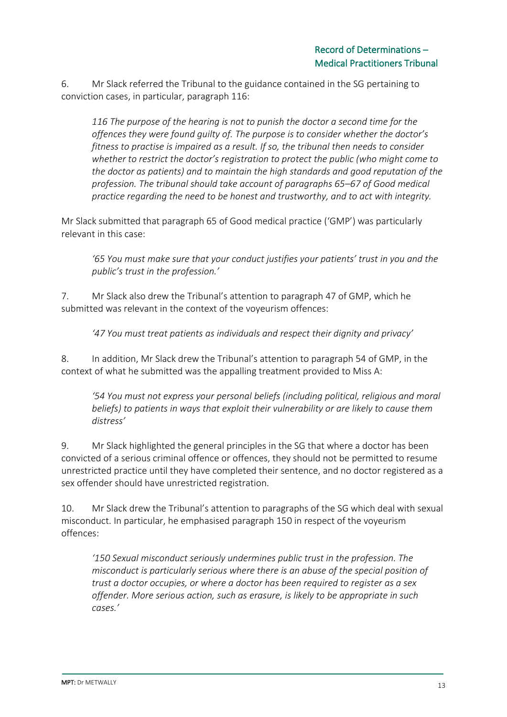6. Mr Slack referred the Tribunal to the guidance contained in the SG pertaining to conviction cases, in particular, paragraph 116:

*116 The purpose of the hearing is not to punish the doctor a second time for the offences they were found guilty of. The purpose is to consider whether the doctor's fitness to practise is impaired as a result. If so, the tribunal then needs to consider whether to restrict the doctor's registration to protect the public (who might come to the doctor as patients) and to maintain the high standards and good reputation of the profession. The tribunal should take account of paragraphs 65–67 of Good medical practice regarding the need to be honest and trustworthy, and to act with integrity.*

Mr Slack submitted that paragraph 65 of Good medical practice ('GMP') was particularly relevant in this case:

*'65 You must make sure that your conduct justifies your patients' trust in you and the public's trust in the profession.'*

7. Mr Slack also drew the Tribunal's attention to paragraph 47 of GMP, which he submitted was relevant in the context of the voyeurism offences:

*'47 You must treat patients as individuals and respect their dignity and privacy'*

8. In addition, Mr Slack drew the Tribunal's attention to paragraph 54 of GMP, in the context of what he submitted was the appalling treatment provided to Miss A:

*'54 You must not express your personal beliefs (including political, religious and moral beliefs) to patients in ways that exploit their vulnerability or are likely to cause them distress'*

9. Mr Slack highlighted the general principles in the SG that where a doctor has been convicted of a serious criminal offence or offences, they should not be permitted to resume unrestricted practice until they have completed their sentence, and no doctor registered as a sex offender should have unrestricted registration.

10. Mr Slack drew the Tribunal's attention to paragraphs of the SG which deal with sexual misconduct. In particular, he emphasised paragraph 150 in respect of the voyeurism offences:

*'150 Sexual misconduct seriously undermines public trust in the profession. The misconduct is particularly serious where there is an abuse of the special position of trust a doctor occupies, or where a doctor has been required to register as a sex offender. More serious action, such as erasure, is likely to be appropriate in such cases.'*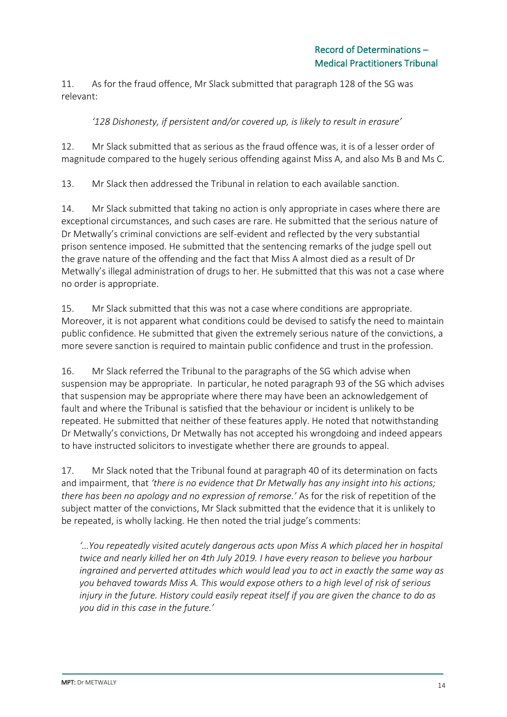11. As for the fraud offence, Mr Slack submitted that paragraph 128 of the SG was relevant:

### *'128 Dishonesty, if persistent and/or covered up, is likely to result in erasure'*

12. Mr Slack submitted that as serious as the fraud offence was, it is of a lesser order of magnitude compared to the hugely serious offending against Miss A, and also Ms B and Ms C.

13. Mr Slack then addressed the Tribunal in relation to each available sanction.

14. Mr Slack submitted that taking no action is only appropriate in cases where there are exceptional circumstances, and such cases are rare. He submitted that the serious nature of Dr Metwally's criminal convictions are self-evident and reflected by the very substantial prison sentence imposed. He submitted that the sentencing remarks of the judge spell out the grave nature of the offending and the fact that Miss A almost died as a result of Dr Metwally's illegal administration of drugs to her. He submitted that this was not a case where no order is appropriate.

15. Mr Slack submitted that this was not a case where conditions are appropriate. Moreover, it is not apparent what conditions could be devised to satisfy the need to maintain public confidence. He submitted that given the extremely serious nature of the convictions, a more severe sanction is required to maintain public confidence and trust in the profession.

16. Mr Slack referred the Tribunal to the paragraphs of the SG which advise when suspension may be appropriate. In particular, he noted paragraph 93 of the SG which advises that suspension may be appropriate where there may have been an acknowledgement of fault and where the Tribunal is satisfied that the behaviour or incident is unlikely to be repeated. He submitted that neither of these features apply. He noted that notwithstanding Dr Metwally's convictions, Dr Metwally has not accepted his wrongdoing and indeed appears to have instructed solicitors to investigate whether there are grounds to appeal.

17. Mr Slack noted that the Tribunal found at paragraph 40 of its determination on facts and impairment, that *'there is no evidence that Dr Metwally has any insight into his actions; there has been no apology and no expression of remorse.'* As for the risk of repetition of the subject matter of the convictions, Mr Slack submitted that the evidence that it is unlikely to be repeated, is wholly lacking. He then noted the trial judge's comments:

*'…You repeatedly visited acutely dangerous acts upon Miss A which placed her in hospital twice and nearly killed her on 4th July 2019. I have every reason to believe you harbour ingrained and perverted attitudes which would lead you to act in exactly the same way as you behaved towards Miss A. This would expose others to a high level of risk of serious injury in the future. History could easily repeat itself if you are given the chance to do as you did in this case in the future.'*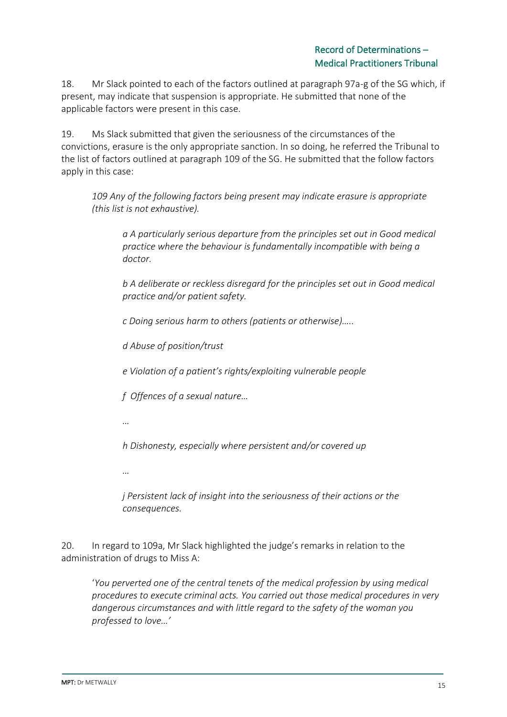18. Mr Slack pointed to each of the factors outlined at paragraph 97a-g of the SG which, if present, may indicate that suspension is appropriate. He submitted that none of the applicable factors were present in this case.

19. Ms Slack submitted that given the seriousness of the circumstances of the convictions, erasure is the only appropriate sanction. In so doing, he referred the Tribunal to the list of factors outlined at paragraph 109 of the SG. He submitted that the follow factors apply in this case:

*109 Any of the following factors being present may indicate erasure is appropriate (this list is not exhaustive).* 

*a A particularly serious departure from the principles set out in Good medical practice where the behaviour is fundamentally incompatible with being a doctor.*

*b A deliberate or reckless disregard for the principles set out in Good medical practice and/or patient safety.*

*c Doing serious harm to others (patients or otherwise)…..*

*d Abuse of position/trust*

*e Violation of a patient's rights/exploiting vulnerable people*

*f Offences of a sexual nature…*

*…*

*h Dishonesty, especially where persistent and/or covered up*

*…*

*j Persistent lack of insight into the seriousness of their actions or the consequences.*

20. In regard to 109a, Mr Slack highlighted the judge's remarks in relation to the administration of drugs to Miss A:

'*You perverted one of the central tenets of the medical profession by using medical procedures to execute criminal acts. You carried out those medical procedures in very dangerous circumstances and with little regard to the safety of the woman you professed to love…'*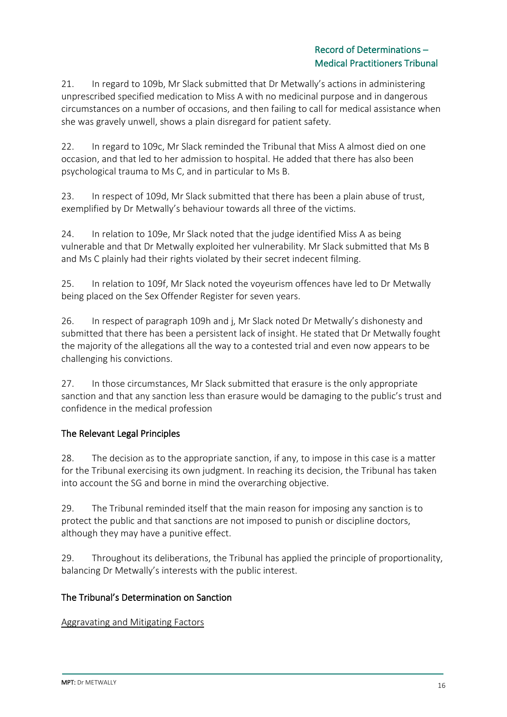21. In regard to 109b, Mr Slack submitted that Dr Metwally's actions in administering unprescribed specified medication to Miss A with no medicinal purpose and in dangerous circumstances on a number of occasions, and then failing to call for medical assistance when she was gravely unwell, shows a plain disregard for patient safety.

22. In regard to 109c, Mr Slack reminded the Tribunal that Miss A almost died on one occasion, and that led to her admission to hospital. He added that there has also been psychological trauma to Ms C, and in particular to Ms B.

23. In respect of 109d, Mr Slack submitted that there has been a plain abuse of trust, exemplified by Dr Metwally's behaviour towards all three of the victims.

24. In relation to 109e, Mr Slack noted that the judge identified Miss A as being vulnerable and that Dr Metwally exploited her vulnerability. Mr Slack submitted that Ms B and Ms C plainly had their rights violated by their secret indecent filming.

25. In relation to 109f, Mr Slack noted the voyeurism offences have led to Dr Metwally being placed on the Sex Offender Register for seven years.

26. In respect of paragraph 109h and j, Mr Slack noted Dr Metwally's dishonesty and submitted that there has been a persistent lack of insight. He stated that Dr Metwally fought the majority of the allegations all the way to a contested trial and even now appears to be challenging his convictions.

27. In those circumstances, Mr Slack submitted that erasure is the only appropriate sanction and that any sanction less than erasure would be damaging to the public's trust and confidence in the medical profession

# The Relevant Legal Principles

28. The decision as to the appropriate sanction, if any, to impose in this case is a matter for the Tribunal exercising its own judgment. In reaching its decision, the Tribunal has taken into account the SG and borne in mind the overarching objective.

29. The Tribunal reminded itself that the main reason for imposing any sanction is to protect the public and that sanctions are not imposed to punish or discipline doctors, although they may have a punitive effect.

29. Throughout its deliberations, the Tribunal has applied the principle of proportionality, balancing Dr Metwally's interests with the public interest.

### The Tribunal's Determination on Sanction

Aggravating and Mitigating Factors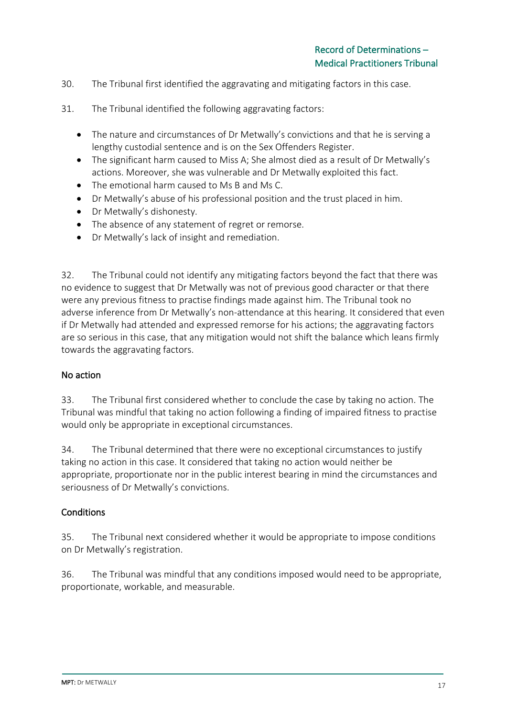- 30. The Tribunal first identified the aggravating and mitigating factors in this case.
- 31. The Tribunal identified the following aggravating factors:
	- The nature and circumstances of Dr Metwally's convictions and that he is serving a lengthy custodial sentence and is on the Sex Offenders Register.
	- The significant harm caused to Miss A; She almost died as a result of Dr Metwally's actions. Moreover, she was vulnerable and Dr Metwally exploited this fact.
	- The emotional harm caused to Ms B and Ms C.
	- Dr Metwally's abuse of his professional position and the trust placed in him.
	- Dr Metwally's dishonesty.
	- The absence of any statement of regret or remorse.
	- Dr Metwally's lack of insight and remediation.

32. The Tribunal could not identify any mitigating factors beyond the fact that there was no evidence to suggest that Dr Metwally was not of previous good character or that there were any previous fitness to practise findings made against him. The Tribunal took no adverse inference from Dr Metwally's non-attendance at this hearing. It considered that even if Dr Metwally had attended and expressed remorse for his actions; the aggravating factors are so serious in this case, that any mitigation would not shift the balance which leans firmly towards the aggravating factors.

#### No action

33. The Tribunal first considered whether to conclude the case by taking no action. The Tribunal was mindful that taking no action following a finding of impaired fitness to practise would only be appropriate in exceptional circumstances.

34. The Tribunal determined that there were no exceptional circumstances to justify taking no action in this case. It considered that taking no action would neither be appropriate, proportionate nor in the public interest bearing in mind the circumstances and seriousness of Dr Metwally's convictions.

#### **Conditions**

35. The Tribunal next considered whether it would be appropriate to impose conditions on Dr Metwally's registration.

36. The Tribunal was mindful that any conditions imposed would need to be appropriate, proportionate, workable, and measurable.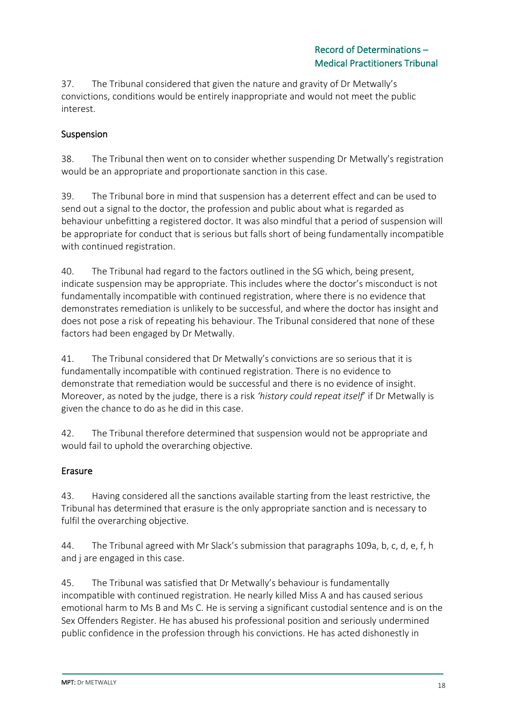37. The Tribunal considered that given the nature and gravity of Dr Metwally's convictions, conditions would be entirely inappropriate and would not meet the public interest.

### Suspension

38. The Tribunal then went on to consider whether suspending Dr Metwally's registration would be an appropriate and proportionate sanction in this case.

39. The Tribunal bore in mind that suspension has a deterrent effect and can be used to send out a signal to the doctor, the profession and public about what is regarded as behaviour unbefitting a registered doctor. It was also mindful that a period of suspension will be appropriate for conduct that is serious but falls short of being fundamentally incompatible with continued registration.

40. The Tribunal had regard to the factors outlined in the SG which, being present, indicate suspension may be appropriate. This includes where the doctor's misconduct is not fundamentally incompatible with continued registration, where there is no evidence that demonstrates remediation is unlikely to be successful, and where the doctor has insight and does not pose a risk of repeating his behaviour. The Tribunal considered that none of these factors had been engaged by Dr Metwally.

41. The Tribunal considered that Dr Metwally's convictions are so serious that it is fundamentally incompatible with continued registration. There is no evidence to demonstrate that remediation would be successful and there is no evidence of insight. Moreover, as noted by the judge, there is a risk *'history could repeat itself*' if Dr Metwally is given the chance to do as he did in this case.

42. The Tribunal therefore determined that suspension would not be appropriate and would fail to uphold the overarching objective.

### Erasure

43. Having considered all the sanctions available starting from the least restrictive, the Tribunal has determined that erasure is the only appropriate sanction and is necessary to fulfil the overarching objective.

44. The Tribunal agreed with Mr Slack's submission that paragraphs 109a, b, c, d, e, f, h and j are engaged in this case.

45. The Tribunal was satisfied that Dr Metwally's behaviour is fundamentally incompatible with continued registration. He nearly killed Miss A and has caused serious emotional harm to Ms B and Ms C. He is serving a significant custodial sentence and is on the Sex Offenders Register. He has abused his professional position and seriously undermined public confidence in the profession through his convictions. He has acted dishonestly in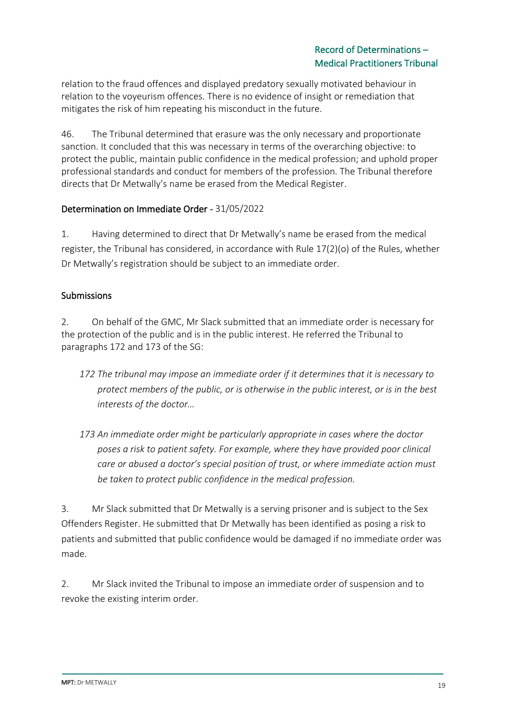relation to the fraud offences and displayed predatory sexually motivated behaviour in relation to the voyeurism offences. There is no evidence of insight or remediation that mitigates the risk of him repeating his misconduct in the future.

46. The Tribunal determined that erasure was the only necessary and proportionate sanction. It concluded that this was necessary in terms of the overarching objective: to protect the public, maintain public confidence in the medical profession; and uphold proper professional standards and conduct for members of the profession. The Tribunal therefore directs that Dr Metwally's name be erased from the Medical Register.

### Determination on Immediate Order - 31/05/2022

1. Having determined to direct that Dr Metwally's name be erased from the medical register, the Tribunal has considered, in accordance with Rule 17(2)(o) of the Rules, whether Dr Metwally's registration should be subject to an immediate order.

### Submissions

2. On behalf of the GMC, Mr Slack submitted that an immediate order is necessary for the protection of the public and is in the public interest. He referred the Tribunal to paragraphs 172 and 173 of the SG:

- *172 The tribunal may impose an immediate order if it determines that it is necessary to protect members of the public, or is otherwise in the public interest, or is in the best interests of the doctor…*
- *173 An immediate order might be particularly appropriate in cases where the doctor poses a risk to patient safety. For example, where they have provided poor clinical care or abused a doctor's special position of trust, or where immediate action must be taken to protect public confidence in the medical profession.*

3. Mr Slack submitted that Dr Metwally is a serving prisoner and is subject to the Sex Offenders Register. He submitted that Dr Metwally has been identified as posing a risk to patients and submitted that public confidence would be damaged if no immediate order was made.

2. Mr Slack invited the Tribunal to impose an immediate order of suspension and to revoke the existing interim order.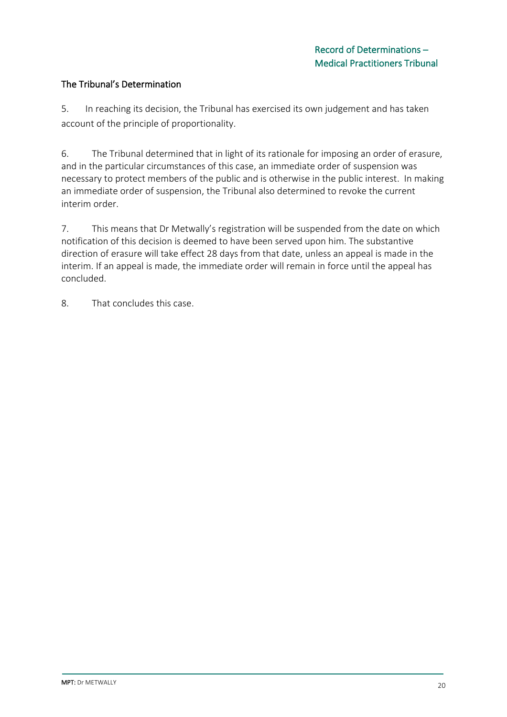### The Tribunal's Determination

5. In reaching its decision, the Tribunal has exercised its own judgement and has taken account of the principle of proportionality.

6. The Tribunal determined that in light of its rationale for imposing an order of erasure, and in the particular circumstances of this case, an immediate order of suspension was necessary to protect members of the public and is otherwise in the public interest. In making an immediate order of suspension, the Tribunal also determined to revoke the current interim order.

7. This means that Dr Metwally's registration will be suspended from the date on which notification of this decision is deemed to have been served upon him. The substantive direction of erasure will take effect 28 days from that date, unless an appeal is made in the interim. If an appeal is made, the immediate order will remain in force until the appeal has concluded.

8. That concludes this case.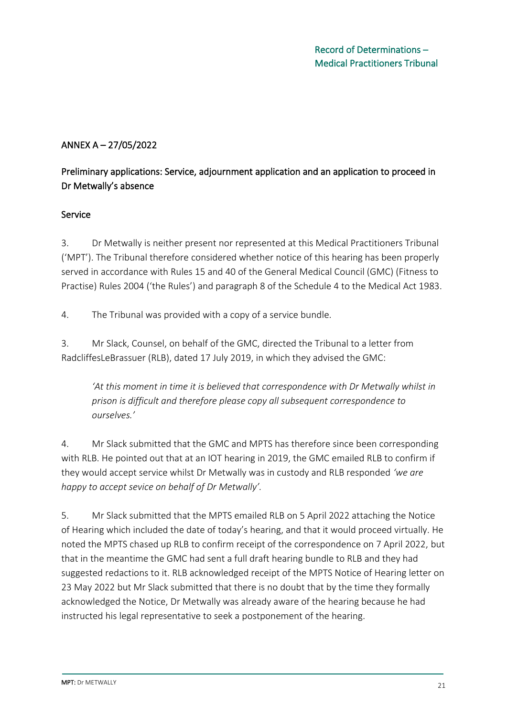# ANNEX A – 27/05/2022

# Preliminary applications: Service, adjournment application and an application to proceed in Dr Metwally's absence

### Service

3. Dr Metwally is neither present nor represented at this Medical Practitioners Tribunal ('MPT'). The Tribunal therefore considered whether notice of this hearing has been properly served in accordance with Rules 15 and 40 of the General Medical Council (GMC) (Fitness to Practise) Rules 2004 ('the Rules') and paragraph 8 of the Schedule 4 to the Medical Act 1983.

4. The Tribunal was provided with a copy of a service bundle.

3. Mr Slack, Counsel, on behalf of the GMC, directed the Tribunal to a letter from RadcliffesLeBrassuer (RLB), dated 17 July 2019, in which they advised the GMC:

*'At this moment in time it is believed that correspondence with Dr Metwally whilst in prison is difficult and therefore please copy all subsequent correspondence to ourselves.'*

4. Mr Slack submitted that the GMC and MPTS has therefore since been corresponding with RLB. He pointed out that at an IOT hearing in 2019, the GMC emailed RLB to confirm if they would accept service whilst Dr Metwally was in custody and RLB responded *'we are happy to accept sevice on behalf of Dr Metwally'.*

5. Mr Slack submitted that the MPTS emailed RLB on 5 April 2022 attaching the Notice of Hearing which included the date of today's hearing, and that it would proceed virtually. He noted the MPTS chased up RLB to confirm receipt of the correspondence on 7 April 2022, but that in the meantime the GMC had sent a full draft hearing bundle to RLB and they had suggested redactions to it. RLB acknowledged receipt of the MPTS Notice of Hearing letter on 23 May 2022 but Mr Slack submitted that there is no doubt that by the time they formally acknowledged the Notice, Dr Metwally was already aware of the hearing because he had instructed his legal representative to seek a postponement of the hearing.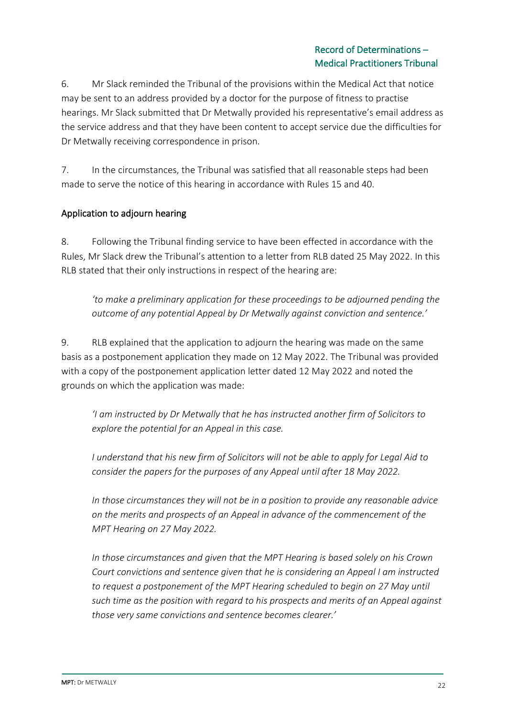6. Mr Slack reminded the Tribunal of the provisions within the Medical Act that notice may be sent to an address provided by a doctor for the purpose of fitness to practise hearings. Mr Slack submitted that Dr Metwally provided his representative's email address as the service address and that they have been content to accept service due the difficulties for Dr Metwally receiving correspondence in prison.

7. In the circumstances, the Tribunal was satisfied that all reasonable steps had been made to serve the notice of this hearing in accordance with Rules 15 and 40.

### Application to adjourn hearing

8. Following the Tribunal finding service to have been effected in accordance with the Rules, Mr Slack drew the Tribunal's attention to a letter from RLB dated 25 May 2022. In this RLB stated that their only instructions in respect of the hearing are:

*'to make a preliminary application for these proceedings to be adjourned pending the outcome of any potential Appeal by Dr Metwally against conviction and sentence.'*

9. RLB explained that the application to adjourn the hearing was made on the same basis as a postponement application they made on 12 May 2022. The Tribunal was provided with a copy of the postponement application letter dated 12 May 2022 and noted the grounds on which the application was made:

*'I am instructed by Dr Metwally that he has instructed another firm of Solicitors to explore the potential for an Appeal in this case.*

*I understand that his new firm of Solicitors will not be able to apply for Legal Aid to consider the papers for the purposes of any Appeal until after 18 May 2022.* 

*In those circumstances they will not be in a position to provide any reasonable advice on the merits and prospects of an Appeal in advance of the commencement of the MPT Hearing on 27 May 2022.* 

*In those circumstances and given that the MPT Hearing is based solely on his Crown Court convictions and sentence given that he is considering an Appeal I am instructed to request a postponement of the MPT Hearing scheduled to begin on 27 May until such time as the position with regard to his prospects and merits of an Appeal against those very same convictions and sentence becomes clearer.'*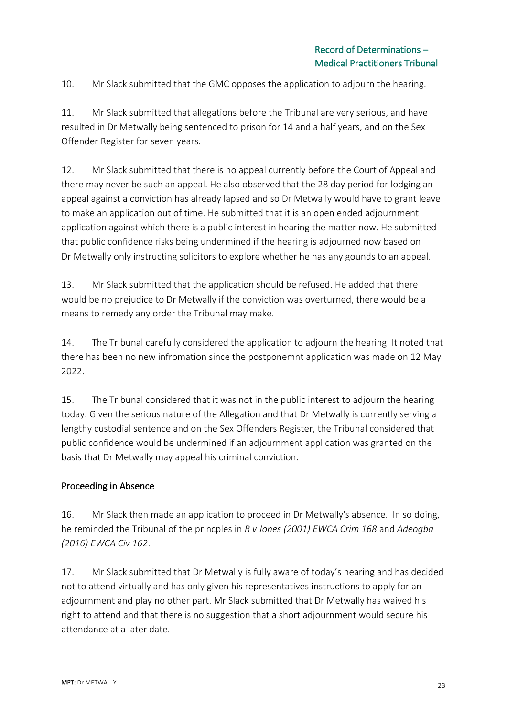10. Mr Slack submitted that the GMC opposes the application to adjourn the hearing.

11. Mr Slack submitted that allegations before the Tribunal are very serious, and have resulted in Dr Metwally being sentenced to prison for 14 and a half years, and on the Sex Offender Register for seven years.

12. Mr Slack submitted that there is no appeal currently before the Court of Appeal and there may never be such an appeal. He also observed that the 28 day period for lodging an appeal against a conviction has already lapsed and so Dr Metwally would have to grant leave to make an application out of time. He submitted that it is an open ended adjournment application against which there is a public interest in hearing the matter now. He submitted that public confidence risks being undermined if the hearing is adjourned now based on Dr Metwally only instructing solicitors to explore whether he has any gounds to an appeal.

13. Mr Slack submitted that the application should be refused. He added that there would be no prejudice to Dr Metwally if the conviction was overturned, there would be a means to remedy any order the Tribunal may make.

14. The Tribunal carefully considered the application to adjourn the hearing. It noted that there has been no new infromation since the postponemnt application was made on 12 May 2022.

15. The Tribunal considered that it was not in the public interest to adjourn the hearing today. Given the serious nature of the Allegation and that Dr Metwally is currently serving a lengthy custodial sentence and on the Sex Offenders Register, the Tribunal considered that public confidence would be undermined if an adjournment application was granted on the basis that Dr Metwally may appeal his criminal conviction.

### Proceeding in Absence

16. Mr Slack then made an application to proceed in Dr Metwally's absence. In so doing, he reminded the Tribunal of the princples in *R v Jones (2001) EWCA Crim 168* and *Adeogba (2016) EWCA Civ 162*.

17. Mr Slack submitted that Dr Metwally is fully aware of today's hearing and has decided not to attend virtually and has only given his representatives instructions to apply for an adjournment and play no other part. Mr Slack submitted that Dr Metwally has waived his right to attend and that there is no suggestion that a short adjournment would secure his attendance at a later date.